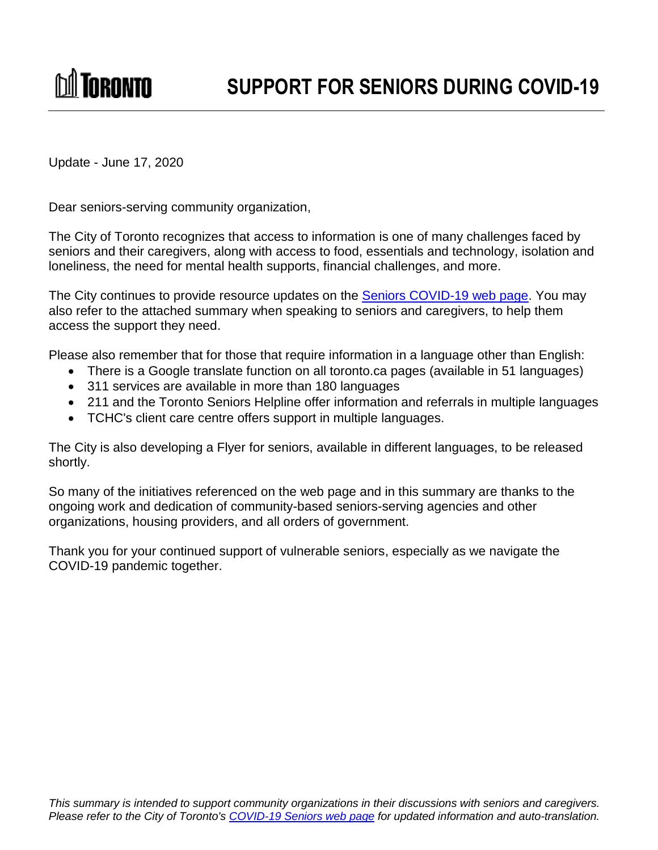Update - June 17, 2020

**M** Toronto

Dear seniors-serving community organization,

The City of Toronto recognizes that access to information is one of many challenges faced by seniors and their caregivers, along with access to food, essentials and technology, isolation and loneliness, the need for mental health supports, financial challenges, and more.

The City continues to provide resource updates on the [Seniors COVID-19 web page.](https://www.toronto.ca/home/covid-19/covid-19-social-support/?accordion=seniors) You may also refer to the attached summary when speaking to seniors and caregivers, to help them access the support they need.

Please also remember that for those that require information in a language other than English:

- There is a Google translate function on all toronto.ca pages (available in 51 languages)
- 311 services are available in more than 180 languages
- 211 and the Toronto Seniors Helpline offer information and referrals in multiple languages
- TCHC's client care centre offers support in multiple languages.

The City is also developing a Flyer for seniors, available in different languages, to be released shortly.

So many of the initiatives referenced on the web page and in this summary are thanks to the ongoing work and dedication of community-based seniors-serving agencies and other organizations, housing providers, and all orders of government.

Thank you for your continued support of vulnerable seniors, especially as we navigate the COVID-19 pandemic together.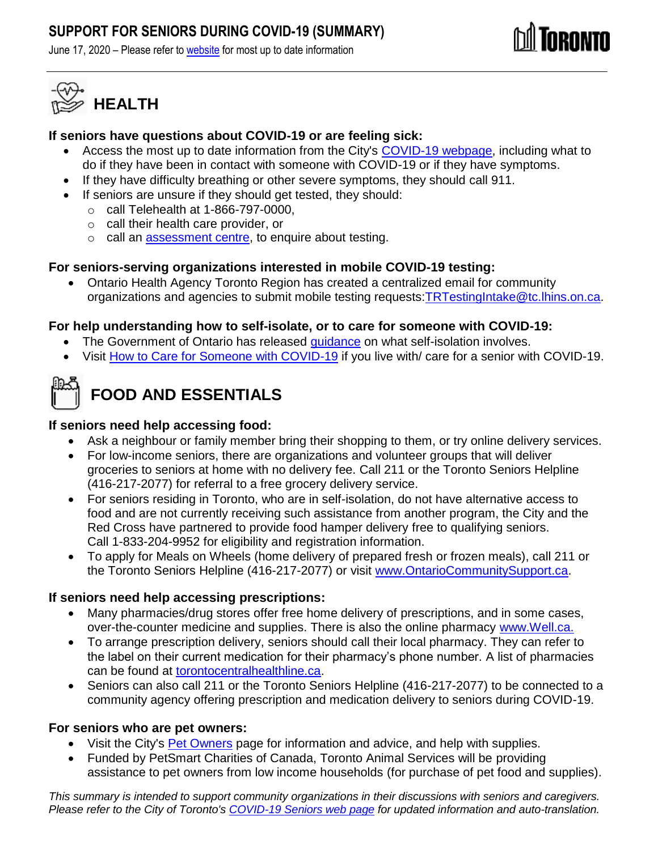## **SUPPORT FOR SENIORS DURING COVID-19 (SUMMARY)**

June 17, 2020 – Please refer to [website](https://www.toronto.ca/home/covid-19/covid-19-social-support/) for most up to date information





#### **If seniors have questions about COVID-19 or are feeling sick:**

- Access the most up to date information from the City's [COVID-19](https://www.toronto.ca/home/covid-19/covid-19-what-you-should-do/covid-19-have-symptoms-or-been-exposed/) webpage, including what to do if they have been in contact with someone with COVID-19 or if they have symptoms.
- If they have difficulty breathing or other severe symptoms, they should call 911.
- If seniors are unsure if they should get tested, they should:
	- o call Telehealth at 1-866-797-0000,
	- o call their health care provider, or
	- o call an [assessment centre,](https://www.toronto.ca/home/covid-19/covid-19-what-you-should-do/covid-19-have-symptoms-or-been-exposed/covid-19-assessment-centres/) to enquire about testing.

#### **For seniors-serving organizations interested in mobile COVID-19 testing:**

 Ontario Health Agency Toronto Region has created a centralized email for community organizations and agencies to submit mobile testing requests: TRTestingIntake@tc.Ihins.on.ca.

### **For help understanding how to self-isolate, or to care for someone with COVID-19:**

- The Government of Ontario has released [guidance](https://www.ontario.ca/page/2019-novel-coronavirus#section-10) on what self-isolation involves.
- Visit [How to Care for Someone with COVID-19](https://www.toronto.ca/home/covid-19/covid-19-what-you-should-do/covid-19-caring-for-someone/) if you live with/ care for a senior with COVID-19.



# **FOOD AND ESSENTIALS**

#### **If seniors need help accessing food:**

- Ask a neighbour or family member bring their shopping to them, or try online delivery services.
- For low-income seniors, there are organizations and volunteer groups that will deliver groceries to seniors at home with no delivery fee. Call 211 or the Toronto Seniors Helpline (416-217-2077) for referral to a free grocery delivery service.
- For seniors residing in Toronto, who are in self-isolation, do not have alternative access to food and are not currently receiving such assistance from another program, the City and the Red Cross have partnered to provide food hamper delivery free to qualifying seniors. Call 1-833-204-9952 for eligibility and registration information.
- To apply for Meals on Wheels (home delivery of prepared fresh or frozen meals), call 211 or the Toronto Seniors Helpline (416-217-2077) or visit [www.OntarioCommunitySupport.ca.](http://www.ontariocommunitysupport.ca/)

### **If seniors need help accessing prescriptions:**

- Many pharmacies/drug stores offer free home delivery of prescriptions, and in some cases, over-the-counter medicine and supplies. There is also the online pharmacy [www.Well.ca.](http://www.well.ca/)
- To arrange prescription delivery, seniors should call their local pharmacy. They can refer to the label on their current medication for their pharmacy's phone number. A list of pharmacies can be found at [torontocentralhealthline.ca.](https://www.torontocentralhealthline.ca/listServices.aspx?id=10345®ion=Toronto)
- Seniors can also call 211 or the Toronto Seniors Helpline (416-217-2077) to be connected to a community agency offering prescription and medication delivery to seniors during COVID-19.

#### **For seniors who are pet owners:**

- Visit the City's **Pet Owners** page for information and advice, and help with supplies.
- Funded by PetSmart Charities of Canada, Toronto Animal Services will be providing assistance to pet owners from low income households (for purchase of pet food and supplies).

*This summary is intended to support community organizations in their discussions with seniors and caregivers. Please refer to the City of Toronto's [COVID-19 Seniors web](https://www.toronto.ca/home/covid-19/covid-19-social-support/?accordion=seniors) page for updated information and auto-translation.*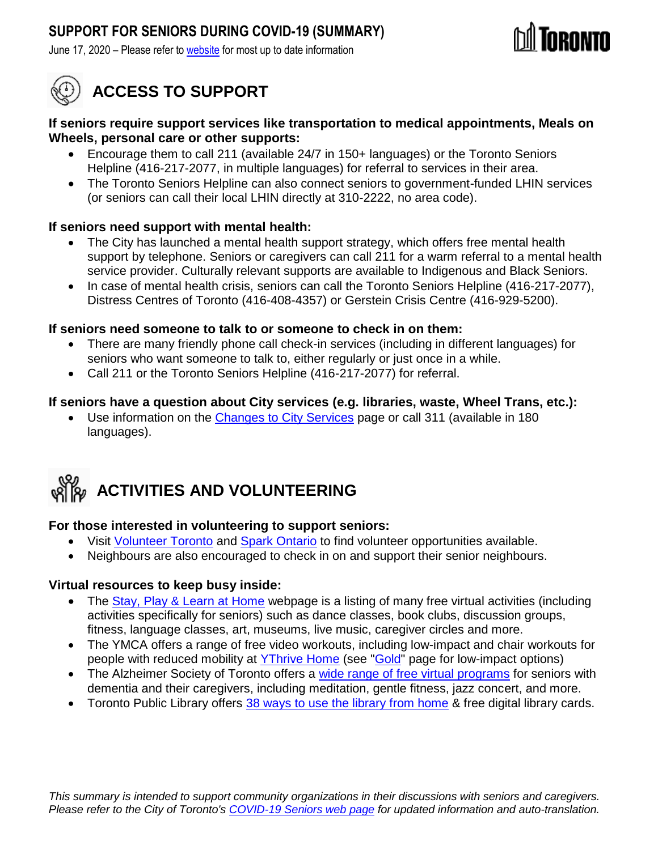## **SUPPORT FOR SENIORS DURING COVID-19 (SUMMARY)**

June 17, 2020 – Please refer to [website](https://www.toronto.ca/home/covid-19/covid-19-social-support/) for most up to date information



# **ACCESS TO SUPPORT**

#### **If seniors require support services like transportation to medical appointments, Meals on Wheels, personal care or other supports:**

- Encourage them to call 211 (available 24/7 in 150+ languages) or the Toronto Seniors Helpline (416-217-2077, in multiple languages) for referral to services in their area.
- The Toronto Seniors Helpline can also connect seniors to government-funded LHIN services (or seniors can call their local LHIN directly at 310-2222, no area code).

### **If seniors need support with mental health:**

- The City has launched a mental health support strategy, which offers free mental health support by telephone. Seniors or caregivers can call 211 for a warm referral to a mental health service provider. Culturally relevant supports are available to Indigenous and Black Seniors.
- In case of mental health crisis, seniors can call the Toronto Seniors Helpline (416-217-2077), Distress Centres of Toronto (416-408-4357) or Gerstein Crisis Centre (416-929-5200).

#### **If seniors need someone to talk to or someone to check in on them:**

- There are many friendly phone call check-in services (including in different languages) for seniors who want someone to talk to, either regularly or just once in a while.
- Call 211 or the Toronto Seniors Helpline (416-217-2077) for referral.

#### **If seniors have a question about City services (e.g. libraries, waste, Wheel Trans, etc.):**

 Use information on the [Changes to City Services](https://www.toronto.ca/home/covid-19/covid-19-latest-city-of-toronto-news/affected-city-services/?accordion=childrens-services) page or call 311 (available in 180 languages).



### **For those interested in volunteering to support seniors:**

- Visit [Volunteer Toronto](https://www.volunteertoronto.ca/) and [Spark Ontario](https://www.sparkontario.ca/) to find volunteer opportunities available.
- Neighbours are also encouraged to check in on and support their senior neighbours.

#### **Virtual resources to keep busy inside:**

- The [Stay, Play & Learn at Home](https://www.toronto.ca/home/covid-19/covid-19-protect-yourself-others/covid-19-reduce-virus-spread/covid-19-stay-play-learn-at-home/) webpage is a listing of many free virtual activities (including activities specifically for seniors) such as dance classes, book clubs, discussion groups, fitness, language classes, art, museums, live music, caregiver circles and more.
- The YMCA offers a range of free video workouts, including low-impact and chair workouts for people with reduced mobility at [YThrive Home](https://ythrive.ca/) (see ["Gold"](https://www.youtube.com/playlist?list=PLA2C6WTfk7jXt74ZTc6DktqypvmiyCMR4) page for low-impact options)
- The Alzheimer Society of Toronto offers a [wide range of free virtual programs](https://alz.to/dementia-programs-activities/active-living-program/) for seniors with dementia and their caregivers, including meditation, gentle fitness, jazz concert, and more.
- Toronto Public Library offers [38 ways to use the library from home](https://torontopubliclibrary.typepad.com/digital-services/2020/03/38-ways-to-use-the-library-from-home.html) & free digital library cards.